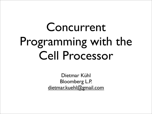### Concurrent Programming with the Cell Processor

Dietmar Kühl Bloomberg L.P. [dietmar.kuehl@gmail.com](mailto:dietmar.kuehl@gmail.com)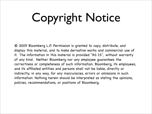# Copyright Notice

© 2009 Bloomberg L.P. Permission is granted to copy, distribute, and display this material, and to make derivative works and commercial use of it. The information in this material is provided "AS IS", without warranty of any kind. Neither Bloomberg nor any employee guarantees the correctness or completeness of such information. Bloomberg, its employees, and its affiliated entities and persons shall not be liable, directly or indirectly, in any way, for any inaccuracies, errors or omissions in such information. Nothing herein should be interpreted as stating the opinions, policies, recommendations, or positions of Bloomberg.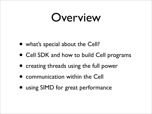#### Overview

- what's special about the Cell?
- Cell SDK and how to build Cell programs
- creating threads using the full power
- communication within the Cell
- using SIMD for great performance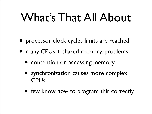#### What's That All About

- processor clock cycles limits are reached
- many CPUs + shared memory: problems
	- contention on accessing memory
	- synchronization causes more complex **CPU<sub>s</sub>**
	- few know how to program this correctly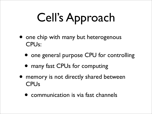# Cell's Approach

- one chip with many but heterogenous CPUs:
	- one general purpose CPU for controlling
	- many fast CPUs for computing
- memory is not directly shared between **CPU<sub>s</sub>** 
	- communication is via fast channels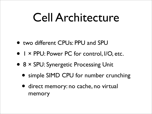#### Cell Architecture

- two different CPUs: PPU and SPU
- 1 × PPU: Power PC for control, I/O, etc.
- <sup>8</sup>× SPU: Synergetic Processing Unit
	- simple SIMD CPU for number crunching
	- direct memory: no cache, no virtual memory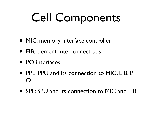# Cell Components

- MIC: memory interface controller
- EIB: element interconnect bus
- I/O interfaces
- PPE: PPU and its connection to MIC, EIB, I/ O
- SPE: SPU and its connection to MIC and EIB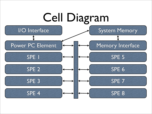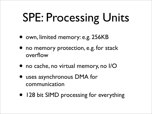## SPE: Processing Units

- own, limited memory: e.g. 256KB
- no memory protection, e.g. for stack overflow
- no cache, no virtual memory, no I/O
- uses asynchronous DMA for communication
- 128 bit SIMD processing for everything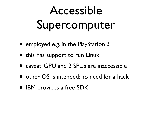## Accessible Supercomputer

- employed e.g. in the PlayStation 3
- this has support to run Linux
- caveat: GPU and 2 SPUs are inaccessible
- other OS is intended: no need for a hack
- IBM provides a free SDK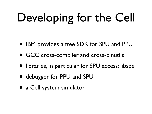# Developing for the Cell

- IBM provides a free SDK for SPU and PPU
- GCC cross-compiler and cross-binutils
- libraries, in particular for SPU access: libspe
- debugger for PPU and SPU
- a Cell system simulator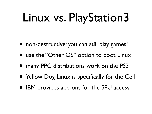# Linux vs. PlayStation3

- non-destructive: you can still play games!
- use the "Other OS" option to boot Linux
- many PPC distributions work on the PS3
- Yellow Dog Linux is specifically for the Cell
- IBM provides add-ons for the SPU access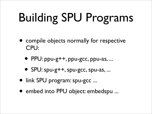# Building SPU Programs

- compile objects normally for respective CPU:
	- PPU: ppu-g++, ppu-gcc, ppu-as, ...
	- SPU: spu-g++, spu-gcc, spu-as, ...
- link SPU program: spu-gcc ...
- embed into PPU object: embedspu ...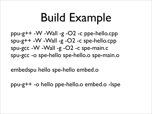### Build Example

ppu-g++ -W -Wall -g -O2 -c ppe-hello.cpp spu-g++ -W -Wall -g -O2 -c spe-hello.cpp spu-gcc -W -Wall -g -O2 -c spe-main.c spu-gcc -o spe-hello spe-hello.o spe-main.o

embedspu hello spe-hello embed.o

ppu-g++ -o hello ppe-hello.o embed.o -lspe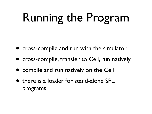# Running the Program

- cross-compile and run with the simulator
- cross-compile, transfer to Cell, run natively
- compile and run natively on the Cell
- there is a loader for stand-alone SPU programs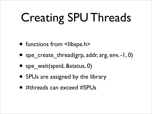# Creating SPU Threads

- functions from <libspe.h>
- spe\_create\_thread(grp, addr, arg, env, -1, 0)
- spe\_wait(speid, &status, 0)
- SPUs are assigned by the library
- #threads can exceed #SPUs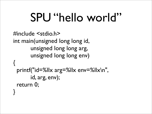### SPU "hello world"

```
#include <stdio.h>
int main(unsigned long long id,
        unsigned long long arg,
        unsigned long long env)
{
  printf("id=%llx arg=%llx env=%llx\n",
        id, arg, env);
  return 0;
}
```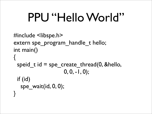### PPU "Hello World"

```
#include <libspe.h>
extern spe_program_handle_t hello;
int main()
{
 speid_t id = spe_create_thread(0, &hello,
                     0, 0, -1, 0); if (id)
  spe_wait(id, 0, 0);
}
```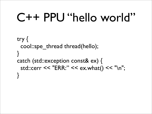#### C++ PPU "hello world"

```
 try {
   cool::spe_thread thread(hello);
 }
  catch (std::exception const& ex) {
   std::cerr << "ERR:" << ex.what() << "\n";
 }
```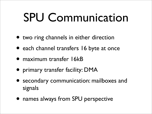#### SPU Communication

- two ring channels in either direction
- each channel transfers 16 byte at once
- maximum transfer 16kB
- primary transfer facility: DMA
- secondary communication: mailboxes and signals
- names always from SPU perspective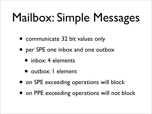### Mailbox: Simple Messages

- communicate 32 bit values only
- per SPE one inbox and one outbox
	- inbox: 4 elements
	- outbox: 1 element
- on SPE exceeding operations will block
- on PPE exceeding operations will not block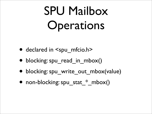## SPU Mailbox Operations

- declared in  $\le$ spu mfcio.h>
- blocking: spu\_read\_in\_mbox()
- blocking: spu\_write\_out\_mbox(value)
- non-blocking: spu\_stat  $*$  mbox()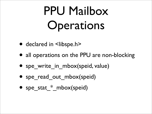## PPU Mailbox Operations

- declared in <libspe.h>
- all operations on the PPU are non-blocking
- spe\_write\_in\_mbox(speid, value)
- spe\_read\_out\_mbox(speid)
- spe\_stat \* mbox(speid)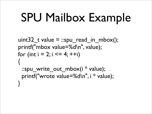### SPU Mailbox Example

```
uint32_t value = ::spu_read_in_mbox();
  printf("mbox value=%d\n", value);
 for (int i = 2; i \le 4; +i)
 {
  ::spu write out mbox(i * value);
   printf("wrote value=%d\n", i * value);
 }
```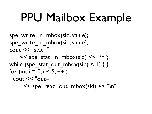### PPU Mailbox Example

spe write in mbox(sid, value); spe write in mbox(sid, value); cout  $<<$  "stat="

 $<<$  spe\_stat\_in\_mbox(sid)  $<<$  "\n"; while (spe\_stat\_out\_mbox(sid) < 1) { } for (int  $i = 0; i < 5; ++i$ ) cout << "out=" << spe\_read\_out\_mbox(sid) << "\n";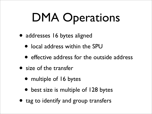## DMA Operations

- addresses 16 bytes aligned
	- local address within the SPU
	- effective address for the outside address
- size of the transfer
	- multiple of 16 bytes
	- best size is multiple of 128 bytes
- tag to identify and group transfers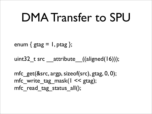#### DMA Transfer to SPU

enum  $\{$  gtag  $= 1$ , ptag  $\};$ 

uint32 t src attribute  $((aligned(16)));$ 

mfc\_get(&src, argp, sizeof(src), gtag, 0, 0); mfc write tag mask( $1 \leq$  gtag); mfc read tag status all();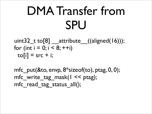### DMA Transfer from SPU

uint32 t to[8] \_\_attribute\_((aligned(16))); for (int  $i = 0$ ;  $i < 8$ ; ++i)  $to[i]$  = src + i;

mfc\_put(&to, envp, 8\*sizeof(to), ptag, 0, 0); mfc write tag mask( $1 \le$  ptag); mfc\_read\_tag\_status\_all();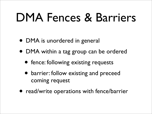#### DMA Fences & Barriers

- DMA is unordered in general
- DMA within a tag group can be ordered
	- fence: following existing requests
	- barrier: follow existing and preceed coming request
- read/write operations with fence/barrier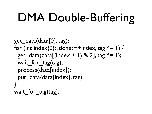## DMA Double-Buffering

```
get_data(data[0], tag);
for (int index(0); !done; ++index, tag ^= 1) {
 get data(data[(index + 1) % 2], tag \lambda = 1);
 wait_for_tag(tag);
 process(data[index]);
 put_data(data[index], tag);
}
wait_for_tag(tag);
```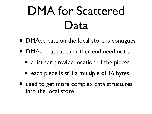### DMA for Scattered Data

- DMAed data on the local store is contigues
- DMAed data at the other end need not be:
	- a list can provide location of the pieces
	- each piece is still a multiple of 16 bytes
- used to get more complex data structures into the local store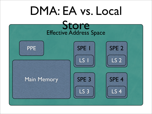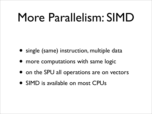#### More Parallelism: SIMD

- single (same) instruction, multiple data
- more computations with same logic
- on the SPU all operations are on vectors
- SIMD is available on most CPUs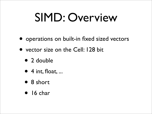### SIMD: Overview

- operations on built-in fixed sized vectors
- vector size on the Cell: 128 bit
	- 2 double
	- $\bullet$  4 int, float, ...
	- 8 short
	- 16 char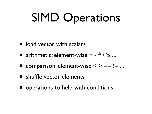## SIMD Operations

- load vector with scalars
- arithmetic: element-wise  $+ * / \%$ ...
- comparison: element-wise  $\leq$  > == != ...
- shuffle vector elements
- operations to help with conditions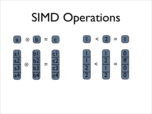### SIMD Operations

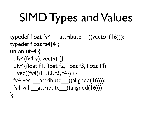# SIMD Types and Values

typedef float fv4 attribute  $((vector(16)));$ typedef float fs4[4]; union ufv4 { ufv4(fv4 v):  $vec(v)$  {} ufv4(float f1, float f2, float f3, float f4): vec((fv4){f1, f2, f3, f4}) {} fv4 vec attribute ((aligned(16))); fs4 val  $\alpha$  attribute  $((aligned(16)));$ };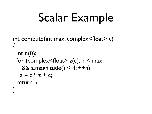## Scalar Example

```
int compute(int max, complex<float> c)
{
 int n(0);
 for (complex<float>z(c); n < max
   && z.magnitude() < 4; ++n)
  z = z * z + c;
  return n;
```
}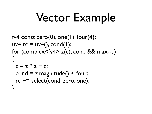## Vector Example

fv4 const zero $(0)$ , one $(1)$ , four $(4)$ ; uv4  $rc = uv4$ (), cond(1); for (complex<fv4> $z(c)$ ; cond && max--;) {  $z = z * z + c$ ;  $cond = z$ .magnitude() < four; rc += select(cond, zero, one); }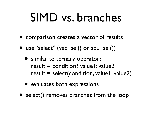#### SIMD vs. branches

- comparison creates a vector of results
- use "select" (vec sel() or spu\_sel())
	- similar to ternary operator: result  $=$  condition? value1: value2 result = select(condition, value1, value2)
	- evaluates both expressions
- select() removes branches from the loop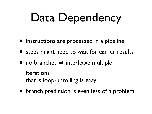## Data Dependency

- instructions are processed in a pipeline
- steps might need to wait for earlier results
- no branches  $\Rightarrow$  interleave multiple

iterations that is loop-unrolling is easy

• branch prediction is even less of a problem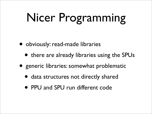# Nicer Programming

- obviously: read-made libraries
	- there are already libraries using the SPUs
- generic libraries: somewhat problematic
	- data structures not directly shared
	- PPU and SPU run different code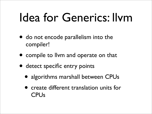### Idea for Generics: llvm

- do not encode parallelism into the compiler!
- compile to llvm and operate on that
- detect specific entry points
	- algorithms marshall between CPUs
	- create different translation units for **CPU<sub>s</sub>**